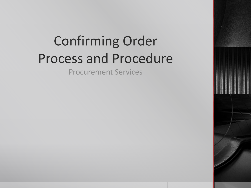# Confirming Order Process and Procedure

Procurement Services

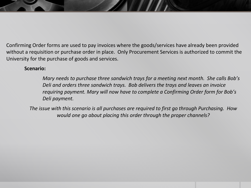Confirming Order forms are used to pay invoices where the goods/services have already been provided without a requisition or purchase order in place. Only Procurement Services is authorized to commit the University for the purchase of goods and services.

#### **Scenario:**

*Mary needs to purchase three sandwich trays for a meeting next month. She calls Bob's Deli and orders three sandwich trays. Bob delivers the trays and leaves an invoice requiring payment. Mary will now have to complete a Confirming Order form for Bob's Deli payment.*

*The issue with this scenario is all purchases are required to first go through Purchasing. How would one go about placing this order through the proper channels?*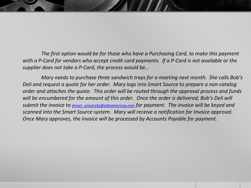*The first option would be for those who have a Purchasing Card, to make this payment with a P-Card for vendors who accept credit card payments. If a P-Card is not available or the supplier does not take a P-Card, the process would be…*

*Mary needs to purchase three sandwich trays for a meeting next month. She calls Bob's Deli and request a quote for her order. Mary logs into Smart Source to prepare a non-catalog order and attaches the quote. This order will be routed through the approval process and funds will be encumbered for the amount of this order. Once the order is delivered, Bob's Deli will submit the invoice to drexel\_university@edmamericas.com for payment. The invoice will be keyed and scanned into the Smart Source system. Mary will receive a notification for Invoice approval. Once Mary approves, the invoice will be processed by Accounts Payable for payment.*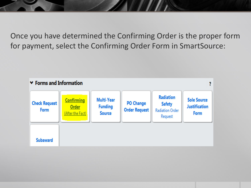Once you have determined the Confirming Order is the proper form for payment, select the Confirming Order Form in SmartSource:

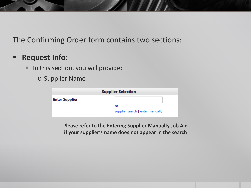#### **Request Info:**

- In this section, you will provide:
	- o Supplier Name

| <b>Supplier Selection</b> |                                  |  |  |  |
|---------------------------|----------------------------------|--|--|--|
| <b>Enter Supplier</b>     |                                  |  |  |  |
|                           | or                               |  |  |  |
|                           | supplier search   enter manually |  |  |  |

**Please refer to the Entering Supplier Manually Job Aid if your supplier's name does not appear in the search**

 $\mathcal{U}$  .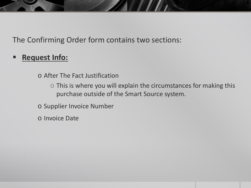## **Request Info:**

o After The Fact Justification

o This is where you will explain the circumstances for making this purchase outside of the Smart Source system.

o Supplier Invoice Number

o Invoice Date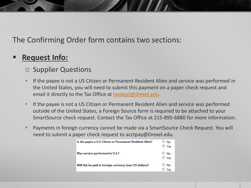#### **Request Info:**

- o Supplier Questions
- If the payee is not a US Citizen or Permanent Resident Alien and service was performed in the United States, you will need to submit this payment on a paper check request and email it directly to the Tax Office at [taxdept@drexel.edu](mailto:taxdept@drexel.edu).
- **If the payee is not a US Citizen or Permanent Resident Alien and service was performed** outside of the United States, a Foreign Source form is required to be attached to your SmartSource check request. Contact the Tax Office at 215-895-6880 for more information.
- Payments in foreign currency cannot be made via a SmartSource Check Request. You will need to submit a paper check request to acctpay@Drexel.edu.

| Is the payee a U.S Citizen or Permanent Resident Alien? | No<br>⊙<br>Ves               |
|---------------------------------------------------------|------------------------------|
| Was service performed in U.S.?                          | No<br>$\circ$<br>$\circ$ Yes |
| Will this be paid in foreign currency (non-US dollars)? | No<br>$\mathbb{C}$<br>Ves    |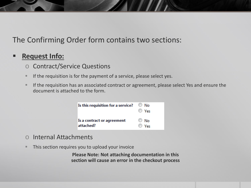#### **Request Info:**

- o Contract/Service Questions
- If the requisition is for the payment of a service, please select yes.
- **If the requisition has an associated contract or agreement, please select Yes and ensure the** document is attached to the form.



- o Internal Attachments
- **This section requires you to upload your invoice**

**Please Note: Not attaching documentation in this section will cause an error in the checkout process**